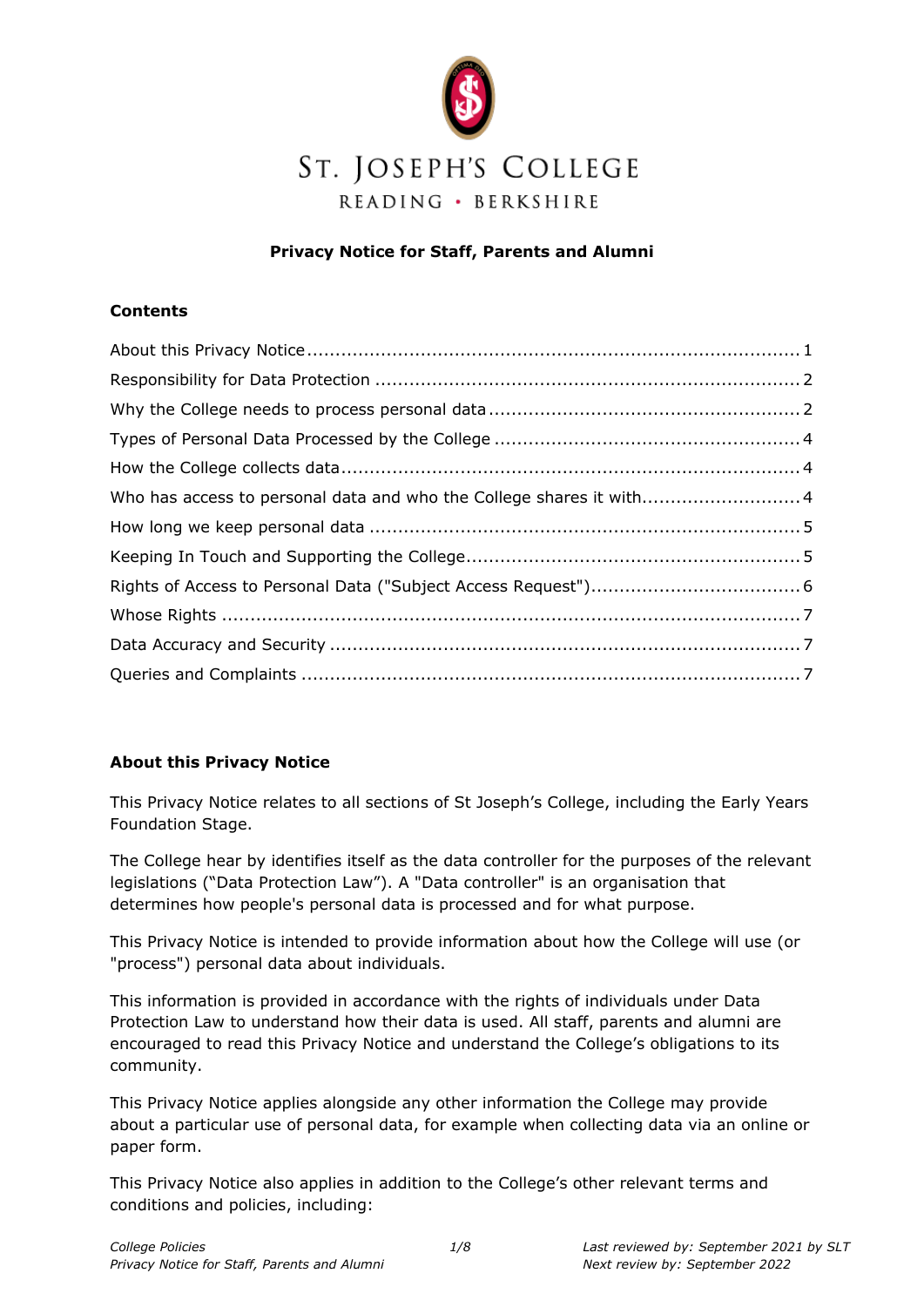

### **Privacy Notice for Staff, Parents and Alumni**

### **Contents**

| Who has access to personal data and who the College shares it with 4 |
|----------------------------------------------------------------------|
|                                                                      |
|                                                                      |
|                                                                      |
|                                                                      |
|                                                                      |
|                                                                      |
|                                                                      |

# **About this Privacy Notice**

This Privacy Notice relates to all sections of St Joseph's College, including the Early Years Foundation Stage.

The College hear by identifies itself as the data controller for the purposes of the relevant legislations ("Data Protection Law"). A "Data controller" is an organisation that determines how people's personal data is processed and for what purpose.

This Privacy Notice is intended to provide information about how the College will use (or "process") personal data about individuals.

This information is provided in accordance with the rights of individuals under Data Protection Law to understand how their data is used. All staff, parents and alumni are encouraged to read this Privacy Notice and understand the College's obligations to its community.

This Privacy Notice applies alongside any other information the College may provide about a particular use of personal data, for example when collecting data via an online or paper form.

This Privacy Notice also applies in addition to the College's other relevant terms and conditions and policies, including: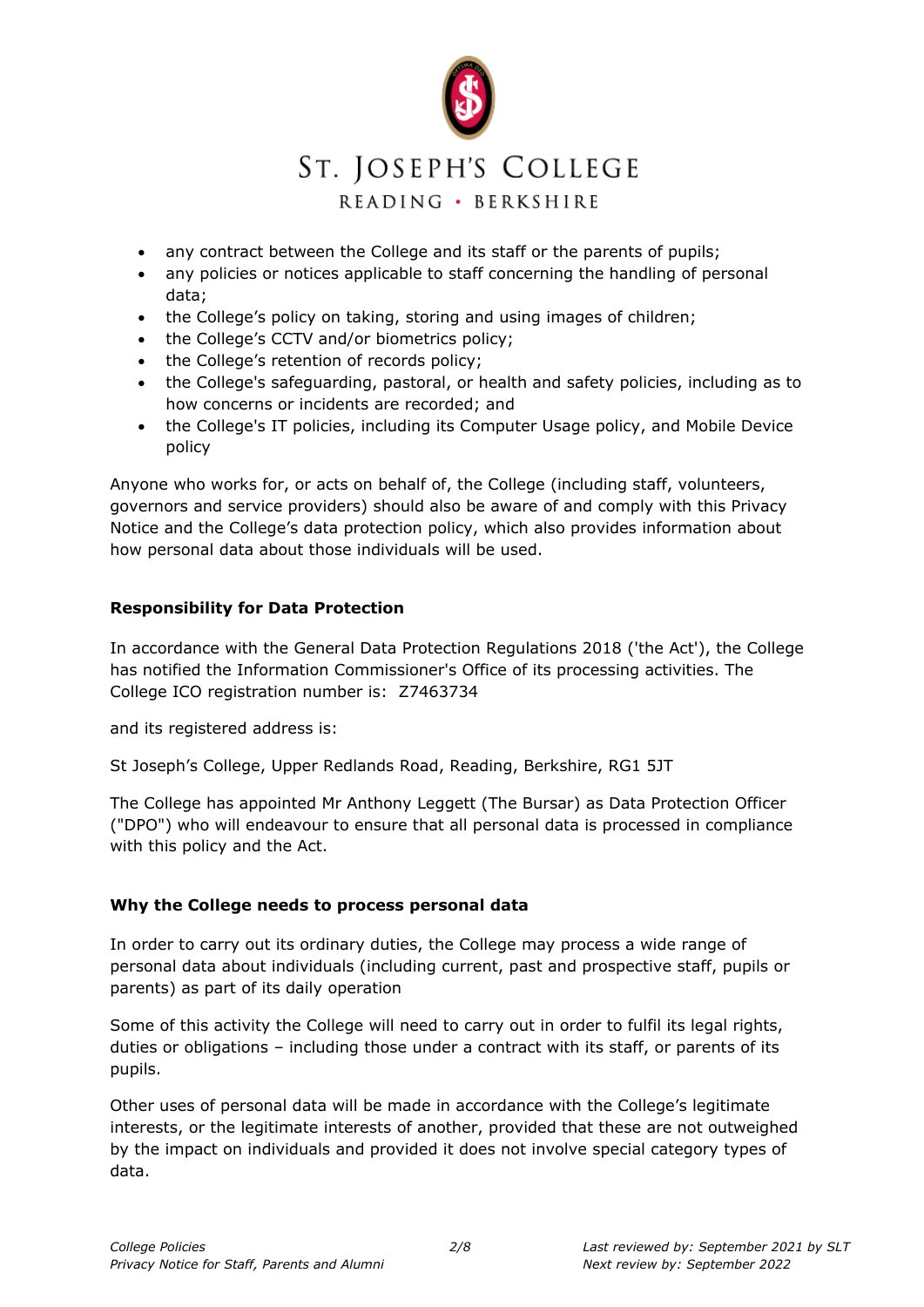

- any contract between the College and its staff or the parents of pupils;
- any policies or notices applicable to staff concerning the handling of personal data;
- the College's policy on taking, storing and using images of children;
- the College's CCTV and/or biometrics policy;
- the College's retention of records policy;
- the College's safeguarding, pastoral, or health and safety policies, including as to how concerns or incidents are recorded; and
- the College's IT policies, including its Computer Usage policy, and Mobile Device policy

Anyone who works for, or acts on behalf of, the College (including staff, volunteers, governors and service providers) should also be aware of and comply with this Privacy Notice and the College's data protection policy, which also provides information about how personal data about those individuals will be used.

### **Responsibility for Data Protection**

In accordance with the General Data Protection Regulations 2018 ('the Act'), the College has notified the Information Commissioner's Office of its processing activities. The College ICO registration number is: Z7463734

and its registered address is:

St Joseph's College, Upper Redlands Road, Reading, Berkshire, RG1 5JT

The College has appointed Mr Anthony Leggett (The Bursar) as Data Protection Officer ("DPO") who will endeavour to ensure that all personal data is processed in compliance with this policy and the Act.

### **Why the College needs to process personal data**

In order to carry out its ordinary duties, the College may process a wide range of personal data about individuals (including current, past and prospective staff, pupils or parents) as part of its daily operation

Some of this activity the College will need to carry out in order to fulfil its legal rights, duties or obligations – including those under a contract with its staff, or parents of its pupils.

Other uses of personal data will be made in accordance with the College's legitimate interests, or the legitimate interests of another, provided that these are not outweighed by the impact on individuals and provided it does not involve special category types of data.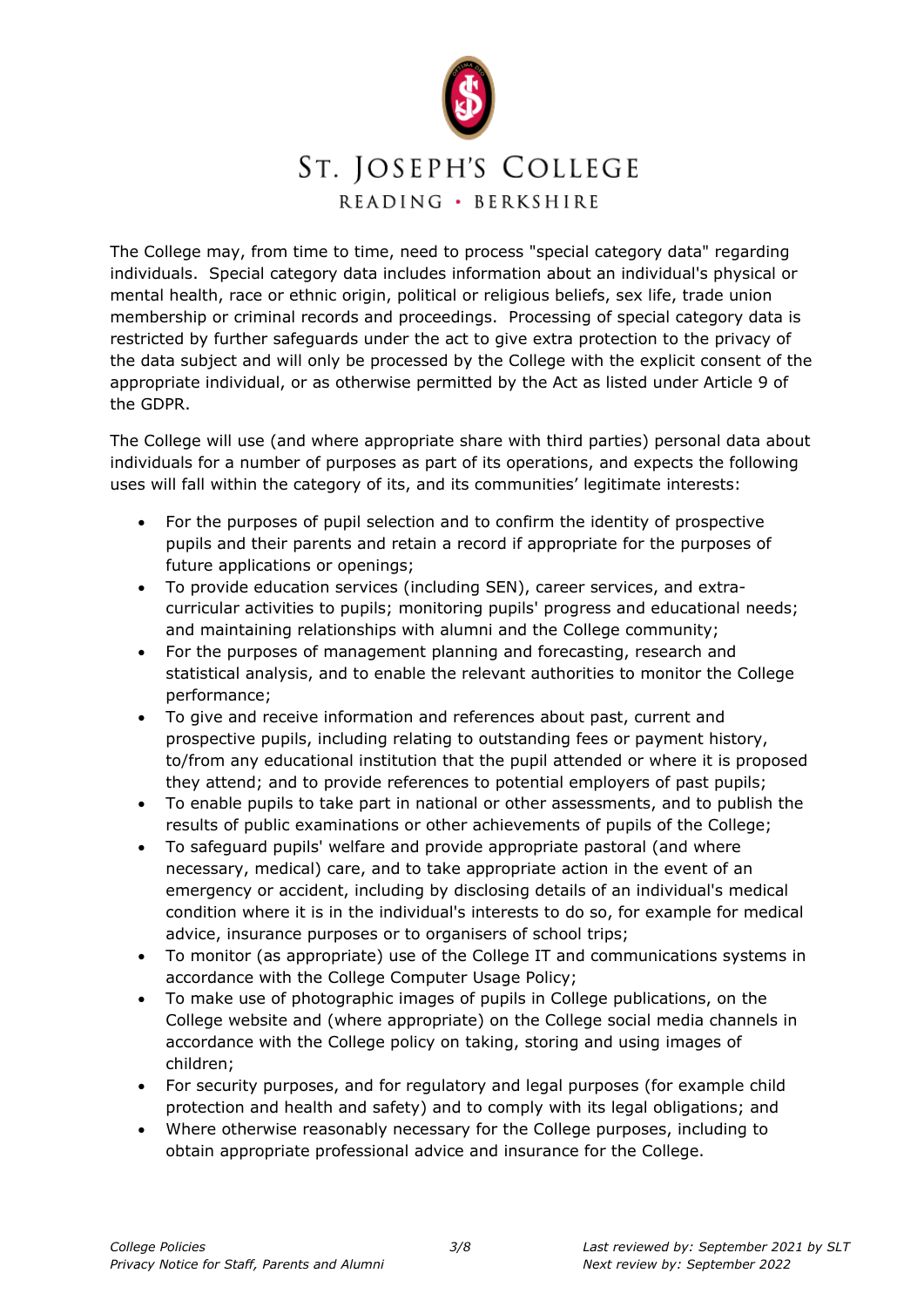

The College may, from time to time, need to process "special category data" regarding individuals. Special category data includes information about an individual's physical or mental health, race or ethnic origin, political or religious beliefs, sex life, trade union membership or criminal records and proceedings. Processing of special category data is restricted by further safeguards under the act to give extra protection to the privacy of the data subject and will only be processed by the College with the explicit consent of the appropriate individual, or as otherwise permitted by the Act as listed under Article 9 of the GDPR.

The College will use (and where appropriate share with third parties) personal data about individuals for a number of purposes as part of its operations, and expects the following uses will fall within the category of its, and its communities' legitimate interests:

- For the purposes of pupil selection and to confirm the identity of prospective pupils and their parents and retain a record if appropriate for the purposes of future applications or openings;
- To provide education services (including SEN), career services, and extracurricular activities to pupils; monitoring pupils' progress and educational needs; and maintaining relationships with alumni and the College community;
- For the purposes of management planning and forecasting, research and statistical analysis, and to enable the relevant authorities to monitor the College performance;
- To give and receive information and references about past, current and prospective pupils, including relating to outstanding fees or payment history, to/from any educational institution that the pupil attended or where it is proposed they attend; and to provide references to potential employers of past pupils;
- To enable pupils to take part in national or other assessments, and to publish the results of public examinations or other achievements of pupils of the College;
- To safeguard pupils' welfare and provide appropriate pastoral (and where necessary, medical) care, and to take appropriate action in the event of an emergency or accident, including by disclosing details of an individual's medical condition where it is in the individual's interests to do so, for example for medical advice, insurance purposes or to organisers of school trips;
- To monitor (as appropriate) use of the College IT and communications systems in accordance with the College Computer Usage Policy;
- To make use of photographic images of pupils in College publications, on the College website and (where appropriate) on the College social media channels in accordance with the College policy on taking, storing and using images of children;
- For security purposes, and for regulatory and legal purposes (for example child protection and health and safety) and to comply with its legal obligations; and
- Where otherwise reasonably necessary for the College purposes, including to obtain appropriate professional advice and insurance for the College.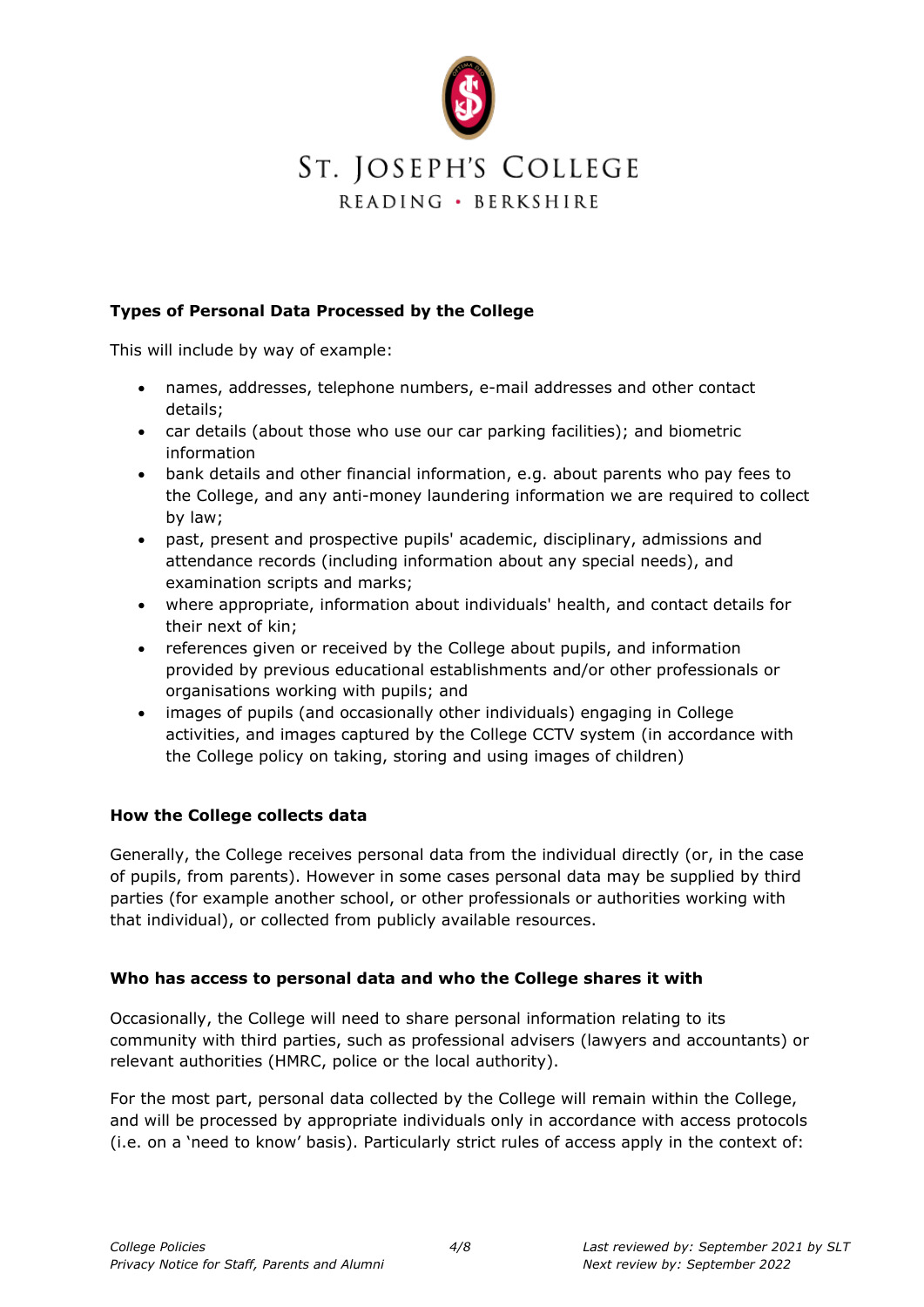

### **Types of Personal Data Processed by the College**

This will include by way of example:

- names, addresses, telephone numbers, e-mail addresses and other contact details;
- car details (about those who use our car parking facilities); and biometric information
- bank details and other financial information, e.g. about parents who pay fees to the College, and any anti-money laundering information we are required to collect by law;
- past, present and prospective pupils' academic, disciplinary, admissions and attendance records (including information about any special needs), and examination scripts and marks;
- where appropriate, information about individuals' health, and contact details for their next of kin;
- references given or received by the College about pupils, and information provided by previous educational establishments and/or other professionals or organisations working with pupils; and
- images of pupils (and occasionally other individuals) engaging in College activities, and images captured by the College CCTV system (in accordance with the College policy on taking, storing and using images of children)

#### **How the College collects data**

Generally, the College receives personal data from the individual directly (or, in the case of pupils, from parents). However in some cases personal data may be supplied by third parties (for example another school, or other professionals or authorities working with that individual), or collected from publicly available resources.

#### **Who has access to personal data and who the College shares it with**

Occasionally, the College will need to share personal information relating to its community with third parties, such as professional advisers (lawyers and accountants) or relevant authorities (HMRC, police or the local authority).

For the most part, personal data collected by the College will remain within the College, and will be processed by appropriate individuals only in accordance with access protocols (i.e. on a 'need to know' basis). Particularly strict rules of access apply in the context of: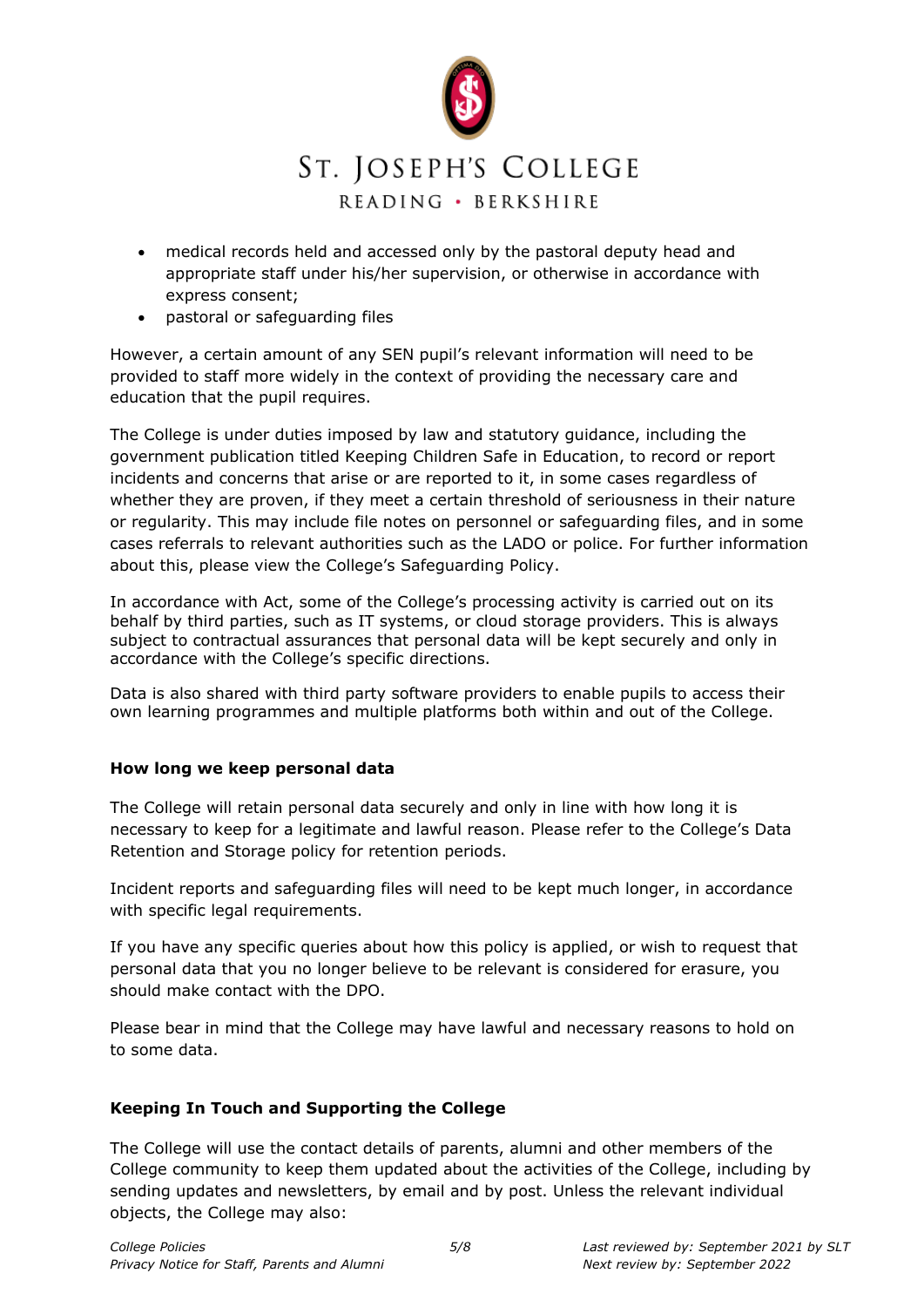

- medical records held and accessed only by the pastoral deputy head and appropriate staff under his/her supervision, or otherwise in accordance with express consent;
- pastoral or safeguarding files

However, a certain amount of any SEN pupil's relevant information will need to be provided to staff more widely in the context of providing the necessary care and education that the pupil requires.

The College is under duties imposed by law and statutory guidance, including the government publication titled Keeping Children Safe in Education, to record or report incidents and concerns that arise or are reported to it, in some cases regardless of whether they are proven, if they meet a certain threshold of seriousness in their nature or regularity. This may include file notes on personnel or safeguarding files, and in some cases referrals to relevant authorities such as the LADO or police. For further information about this, please view the College's Safeguarding Policy.

In accordance with Act, some of the College's processing activity is carried out on its behalf by third parties, such as IT systems, or cloud storage providers. This is always subject to contractual assurances that personal data will be kept securely and only in accordance with the College's specific directions.

Data is also shared with third party software providers to enable pupils to access their own learning programmes and multiple platforms both within and out of the College.

# **How long we keep personal data**

The College will retain personal data securely and only in line with how long it is necessary to keep for a legitimate and lawful reason. Please refer to the College's Data Retention and Storage policy for retention periods.

Incident reports and safeguarding files will need to be kept much longer, in accordance with specific legal requirements.

If you have any specific queries about how this policy is applied, or wish to request that personal data that you no longer believe to be relevant is considered for erasure, you should make contact with the DPO.

Please bear in mind that the College may have lawful and necessary reasons to hold on to some data.

# **Keeping In Touch and Supporting the College**

The College will use the contact details of parents, alumni and other members of the College community to keep them updated about the activities of the College, including by sending updates and newsletters, by email and by post. Unless the relevant individual objects, the College may also: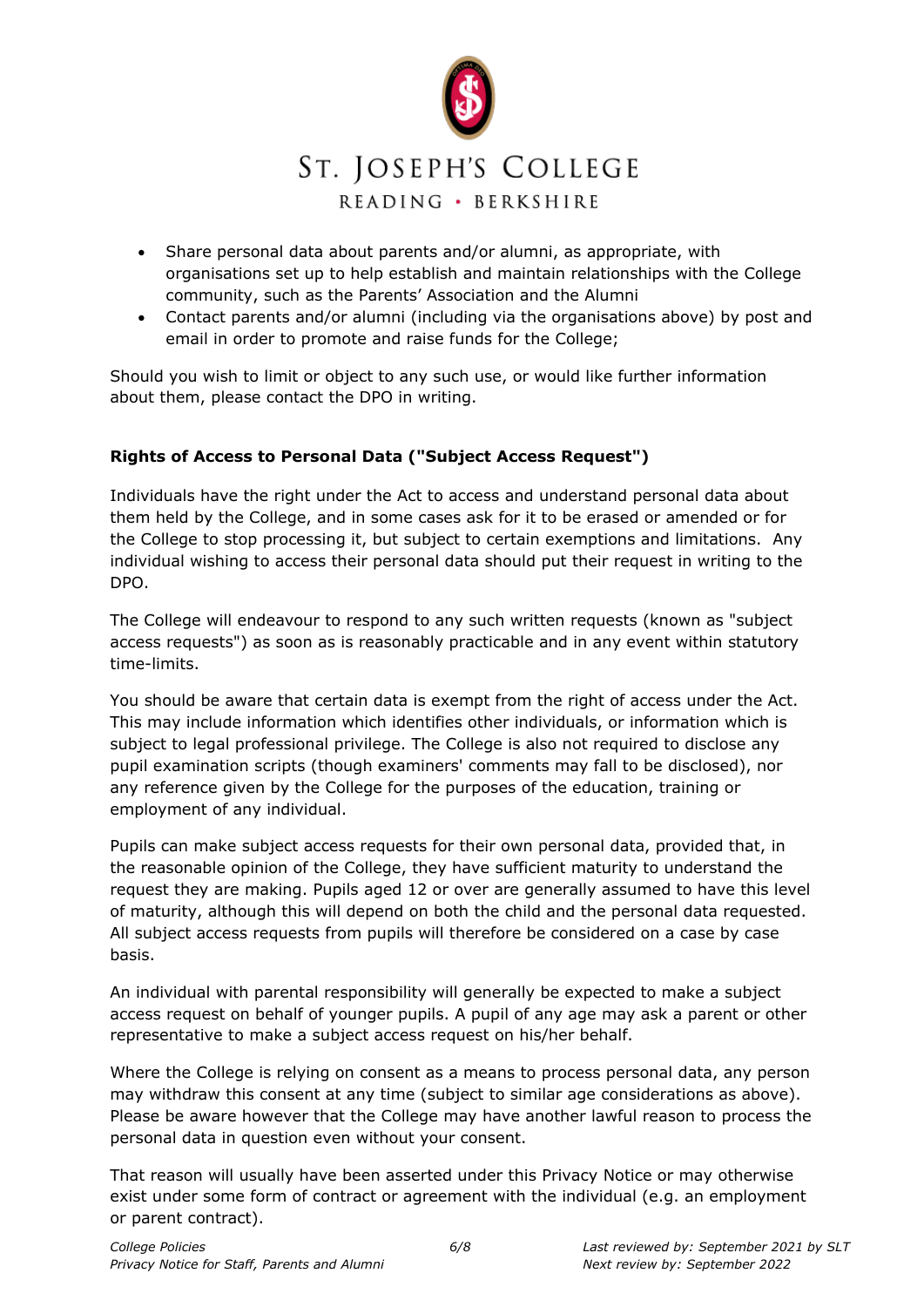

- Share personal data about parents and/or alumni, as appropriate, with organisations set up to help establish and maintain relationships with the College community, such as the Parents' Association and the Alumni
- Contact parents and/or alumni (including via the organisations above) by post and email in order to promote and raise funds for the College;

Should you wish to limit or object to any such use, or would like further information about them, please contact the DPO in writing.

# **Rights of Access to Personal Data ("Subject Access Request")**

Individuals have the right under the Act to access and understand personal data about them held by the College, and in some cases ask for it to be erased or amended or for the College to stop processing it, but subject to certain exemptions and limitations. Any individual wishing to access their personal data should put their request in writing to the DPO.

The College will endeavour to respond to any such written requests (known as "subject access requests") as soon as is reasonably practicable and in any event within statutory time-limits.

You should be aware that certain data is exempt from the right of access under the Act. This may include information which identifies other individuals, or information which is subject to legal professional privilege. The College is also not required to disclose any pupil examination scripts (though examiners' comments may fall to be disclosed), nor any reference given by the College for the purposes of the education, training or employment of any individual.

Pupils can make subject access requests for their own personal data, provided that, in the reasonable opinion of the College, they have sufficient maturity to understand the request they are making. Pupils aged 12 or over are generally assumed to have this level of maturity, although this will depend on both the child and the personal data requested. All subject access requests from pupils will therefore be considered on a case by case basis.

An individual with parental responsibility will generally be expected to make a subject access request on behalf of younger pupils. A pupil of any age may ask a parent or other representative to make a subject access request on his/her behalf.

Where the College is relying on consent as a means to process personal data, any person may withdraw this consent at any time (subject to similar age considerations as above). Please be aware however that the College may have another lawful reason to process the personal data in question even without your consent.

That reason will usually have been asserted under this Privacy Notice or may otherwise exist under some form of contract or agreement with the individual (e.g. an employment or parent contract).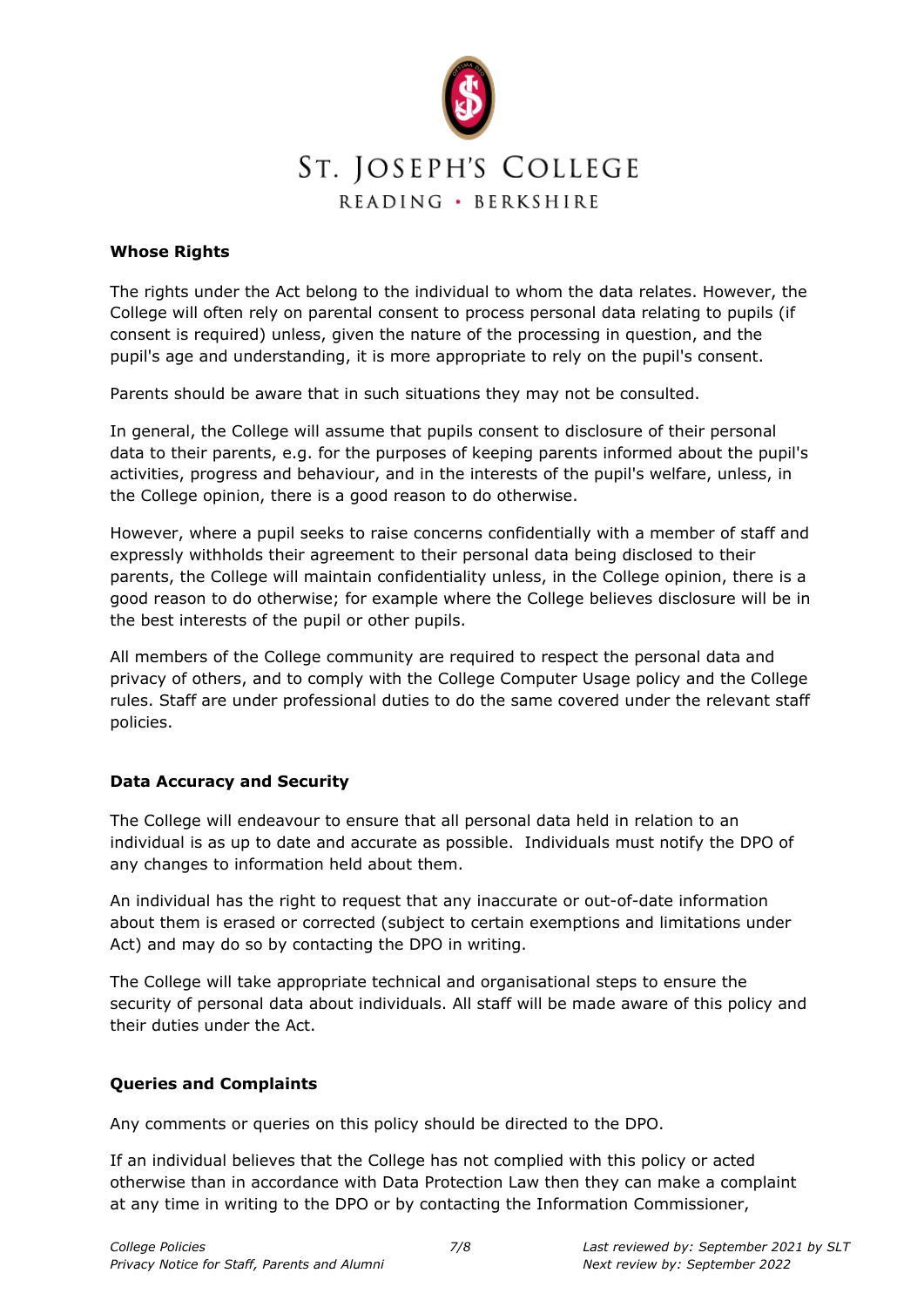

### **Whose Rights**

The rights under the Act belong to the individual to whom the data relates. However, the College will often rely on parental consent to process personal data relating to pupils (if consent is required) unless, given the nature of the processing in question, and the pupil's age and understanding, it is more appropriate to rely on the pupil's consent.

Parents should be aware that in such situations they may not be consulted.

In general, the College will assume that pupils consent to disclosure of their personal data to their parents, e.g. for the purposes of keeping parents informed about the pupil's activities, progress and behaviour, and in the interests of the pupil's welfare, unless, in the College opinion, there is a good reason to do otherwise.

However, where a pupil seeks to raise concerns confidentially with a member of staff and expressly withholds their agreement to their personal data being disclosed to their parents, the College will maintain confidentiality unless, in the College opinion, there is a good reason to do otherwise; for example where the College believes disclosure will be in the best interests of the pupil or other pupils.

All members of the College community are required to respect the personal data and privacy of others, and to comply with the College Computer Usage policy and the College rules. Staff are under professional duties to do the same covered under the relevant staff policies.

# **Data Accuracy and Security**

The College will endeavour to ensure that all personal data held in relation to an individual is as up to date and accurate as possible. Individuals must notify the DPO of any changes to information held about them.

An individual has the right to request that any inaccurate or out-of-date information about them is erased or corrected (subject to certain exemptions and limitations under Act) and may do so by contacting the DPO in writing.

The College will take appropriate technical and organisational steps to ensure the security of personal data about individuals. All staff will be made aware of this policy and their duties under the Act.

#### **Queries and Complaints**

Any comments or queries on this policy should be directed to the DPO.

If an individual believes that the College has not complied with this policy or acted otherwise than in accordance with Data Protection Law then they can make a complaint at any time in writing to the DPO or by contacting the Information Commissioner,